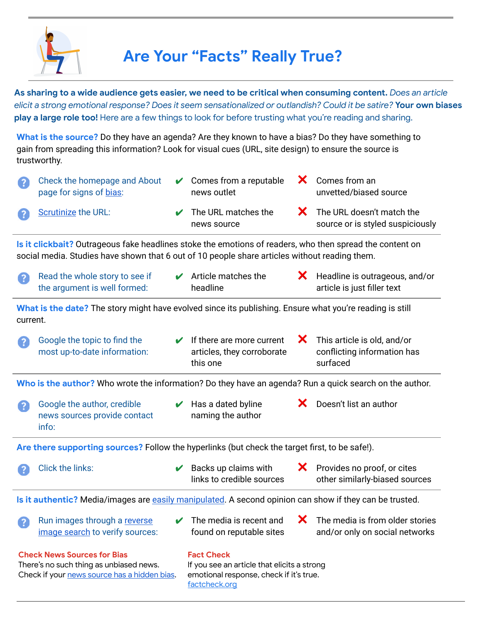

## **Are Your "Facts" Really True?**

As sharing to a wide audience gets easier, we need to be critical when consuming content. Does an article elicit a strong emotional response? Does it seem sensationalized or outlandish? Could it be satire? Your own biases **play a large role too!** Here are a few things to look for before trusting what you're reading and sharing.

**What is the source?** Do they have an agenda? Are they known to have a bias? Do they have something to gain from spreading this information? Look for visual cues (URL, site design) to ensure the source is trustworthy.

| $\overline{3}$                                                                                                                                                                                            | Check the homepage and About<br>page for signs of bias:                                                 |   | Comes from a reputable<br>news outlet                               |   | X Comes from an<br>unvetted/biased source                                                                                             |
|-----------------------------------------------------------------------------------------------------------------------------------------------------------------------------------------------------------|---------------------------------------------------------------------------------------------------------|---|---------------------------------------------------------------------|---|---------------------------------------------------------------------------------------------------------------------------------------|
|                                                                                                                                                                                                           | Scrutinize the URL:                                                                                     | V | The URL matches the<br>news source                                  | X | The URL doesn't match the<br>source or is styled suspiciously                                                                         |
| Is it clickbait? Outrageous fake headlines stoke the emotions of readers, who then spread the content on<br>social media. Studies have shown that 6 out of 10 people share articles without reading them. |                                                                                                         |   |                                                                     |   |                                                                                                                                       |
| $\mathcal{L}$                                                                                                                                                                                             | Read the whole story to see if<br>the argument is well formed:                                          | V | Article matches the<br>headline                                     | X | Headline is outrageous, and/or<br>article is just filler text                                                                         |
| What is the date? The story might have evolved since its publishing. Ensure what you're reading is still<br>current.                                                                                      |                                                                                                         |   |                                                                     |   |                                                                                                                                       |
| $\overline{2}$                                                                                                                                                                                            | Google the topic to find the<br>most up-to-date information:                                            |   | If there are more current<br>articles, they corroborate<br>this one | X | This article is old, and/or<br>conflicting information has<br>surfaced                                                                |
| Who is the author? Who wrote the information? Do they have an agenda? Run a quick search on the author.                                                                                                   |                                                                                                         |   |                                                                     |   |                                                                                                                                       |
| $\Omega$                                                                                                                                                                                                  | Google the author, credible<br>news sources provide contact<br>info:                                    |   | Has a dated byline<br>naming the author                             | Х | Doesn't list an author                                                                                                                |
| Are there supporting sources? Follow the hyperlinks (but check the target first, to be safe!).                                                                                                            |                                                                                                         |   |                                                                     |   |                                                                                                                                       |
|                                                                                                                                                                                                           | <b>Click the links:</b>                                                                                 | V |                                                                     |   | Provides no proof, or cites                                                                                                           |
|                                                                                                                                                                                                           |                                                                                                         |   | Backs up claims with<br>links to credible sources                   | X | other similarly-biased sources                                                                                                        |
|                                                                                                                                                                                                           | Is it authentic? Media/images are easily manipulated. A second opinion can show if they can be trusted. |   |                                                                     |   |                                                                                                                                       |
| $\boldsymbol{P}$                                                                                                                                                                                          | Run images through a reverse<br>image search to verify sources:                                         |   | found on reputable sites                                            |   | $\blacktriangleright$ The media is recent and $\blacktriangleright$ The media is from older stories<br>and/or only on social networks |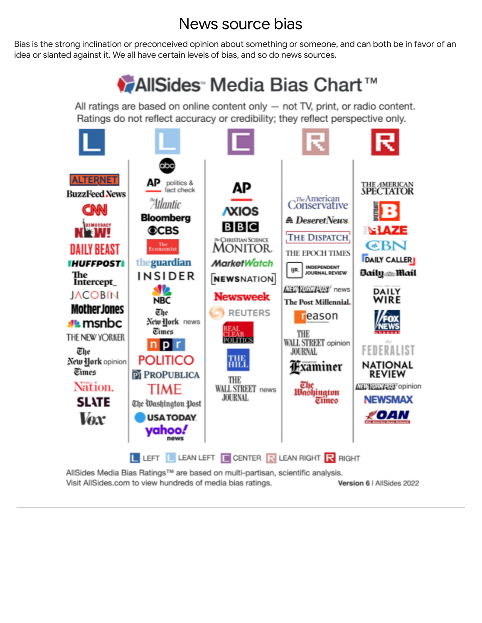#### News source bias

<span id="page-1-0"></span>Bias is the strong inclination or preconceived opinion about something or someone, and can both be in favor of an idea or slanted against it. We all have certain levels of bias, and so do news sources.

# ◆ AllSides<sup>®</sup> Media Bias Chart<sup>™</sup>

All ratings are based on online content only  $-$  not TV, print, or radio content. Ratings do not reflect accuracy or credibility; they reflect perspective only.



AllSides Media Bias Ratings™ are based on multi-partisan, scientific analysis. Visit AllSides.com to view hundreds of media bias ratings. Version 6 | AllSides 2022